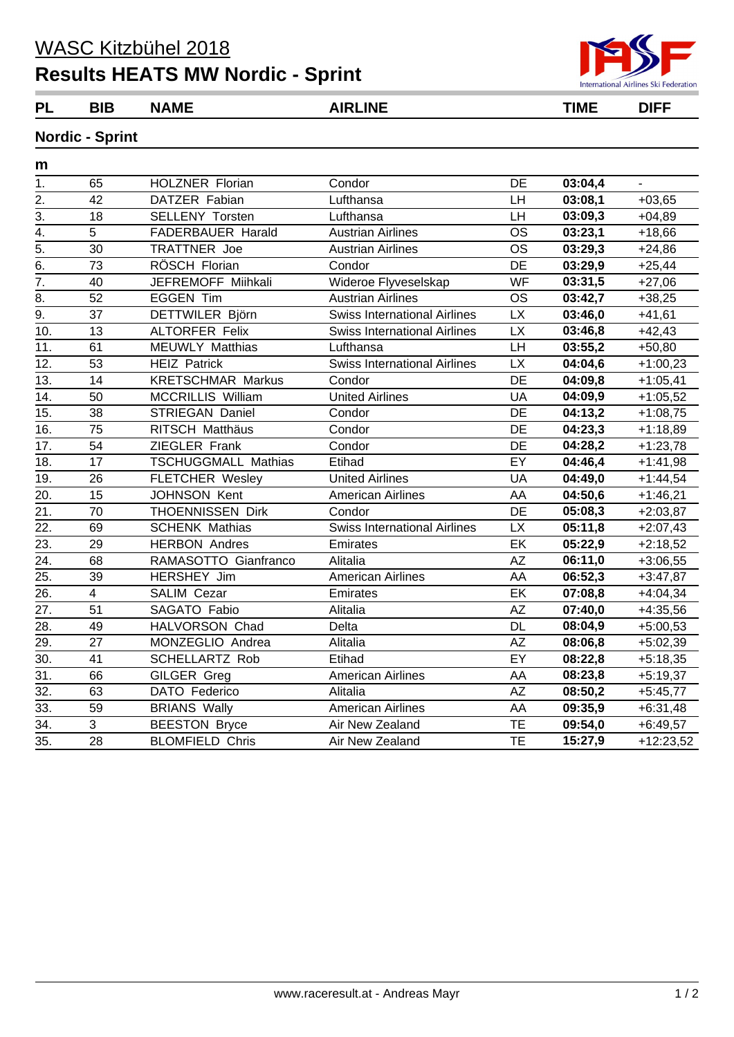## **Results HEATS MW Nordic - Sprint**



**PL BIB NAME AIRLINE TIME DIFF**

## **Nordic - Sprint**

| m                 |                         |                            |                                     |           |         |             |
|-------------------|-------------------------|----------------------------|-------------------------------------|-----------|---------|-------------|
| 1.                | 65                      | <b>HOLZNER Florian</b>     | Condor                              | DE        | 03:04,4 |             |
| 2.                | 42                      | DATZER Fabian              | Lufthansa                           | LH        | 03:08,1 | $+03,65$    |
| $\overline{3}$ .  | 18                      | <b>SELLENY Torsten</b>     | Lufthansa                           | LH        | 03:09,3 | $+04,89$    |
| 4.                | 5                       | FADERBAUER Harald          | <b>Austrian Airlines</b>            | <b>OS</b> | 03:23,1 | $+18,66$    |
| $\overline{5}$ .  | 30                      | <b>TRATTNER Joe</b>        | <b>Austrian Airlines</b>            | <b>OS</b> | 03:29,3 | $+24,86$    |
| 6.                | 73                      | RÖSCH Florian              | Condor                              | DE        | 03:29,9 | $+25,44$    |
| $\overline{7}$ .  | 40                      | JEFREMOFF Miihkali         | Wideroe Flyveselskap                | WF        | 03:31,5 | $+27,06$    |
| 8.                | 52                      | <b>EGGEN Tim</b>           | <b>Austrian Airlines</b>            | <b>OS</b> | 03:42,7 | $+38,25$    |
| 9.                | 37                      | DETTWILER Björn            | <b>Swiss International Airlines</b> | <b>LX</b> | 03:46,0 | $+41,61$    |
| 10.               | 13                      | <b>ALTORFER Felix</b>      | <b>Swiss International Airlines</b> | <b>LX</b> | 03:46,8 | $+42,43$    |
| 11.               | 61                      | <b>MEUWLY Matthias</b>     | Lufthansa                           | LH        | 03:55,2 | $+50,80$    |
| 12.               | 53                      | <b>HEIZ Patrick</b>        | <b>Swiss International Airlines</b> | <b>LX</b> | 04:04,6 | $+1:00,23$  |
| 13.               | 14                      | <b>KRETSCHMAR Markus</b>   | Condor                              | <b>DE</b> | 04:09,8 | $+1:05,41$  |
| 14.               | 50                      | <b>MCCRILLIS William</b>   | <b>United Airlines</b>              | UA        | 04:09,9 | $+1:05,52$  |
| 15.               | 38                      | <b>STRIEGAN Daniel</b>     | Condor                              | DE        | 04:13,2 | $+1:08,75$  |
| 16.               | 75                      | <b>RITSCH Matthäus</b>     | Condor                              | <b>DE</b> | 04:23,3 | $+1:18,89$  |
| 17.               | 54                      | ZIEGLER Frank              | Condor                              | DE        | 04:28,2 | $+1:23,78$  |
| 18.               | 17                      | <b>TSCHUGGMALL Mathias</b> | Etihad                              | EY        | 04:46,4 | $+1:41,98$  |
| 19.               | 26                      | <b>FLETCHER Wesley</b>     | <b>United Airlines</b>              | UA        | 04:49,0 | $+1:44,54$  |
| 20.               | 15                      | <b>JOHNSON Kent</b>        | <b>American Airlines</b>            | AA        | 04:50,6 | $+1:46,21$  |
| 21.               | 70                      | <b>THOENNISSEN Dirk</b>    | Condor                              | DE        | 05:08,3 | $+2:03,87$  |
| 22.               | 69                      | <b>SCHENK Mathias</b>      | <b>Swiss International Airlines</b> | <b>LX</b> | 05:11,8 | $+2:07,43$  |
| 23.               | 29                      | <b>HERBON Andres</b>       | Emirates                            | $E$ K     | 05:22,9 | $+2:18,52$  |
| 24.               | 68                      | RAMASOTTO Gianfranco       | Alitalia                            | <b>AZ</b> | 06:11,0 | $+3:06,55$  |
| 25.               | 39                      | HERSHEY Jim                | <b>American Airlines</b>            | AA        | 06:52,3 | $+3:47,87$  |
| 26.               | $\overline{\mathbf{4}}$ | <b>SALIM Cezar</b>         | Emirates                            | EK        | 07:08,8 | $+4:04,34$  |
| 27.               | 51                      | SAGATO Fabio               | Alitalia                            | <b>AZ</b> | 07:40,0 | $+4:35,56$  |
| 28.               | 49                      | HALVORSON Chad             | Delta                               | <b>DL</b> | 08:04,9 | $+5:00,53$  |
| 29.               | 27                      | MONZEGLIO Andrea           | Alitalia                            | <b>AZ</b> | 08:06,8 | $+5:02,39$  |
| 30.               | 41                      | <b>SCHELLARTZ Rob</b>      | Etihad                              | EY        | 08:22,8 | $+5:18,35$  |
| 31.               | 66                      | GILGER Greg                | <b>American Airlines</b>            | AA        | 08:23,8 | $+5:19,37$  |
| 32.               | 63                      | DATO Federico              | Alitalia                            | <b>AZ</b> | 08:50,2 | $+5:45,77$  |
| 33.               | 59                      | <b>BRIANS Wally</b>        | <b>American Airlines</b>            | AA        | 09:35,9 | $+6:31,48$  |
| 34.               | 3                       | <b>BEESTON Bryce</b>       | Air New Zealand                     | TE        | 09:54,0 | $+6:49,57$  |
| $\overline{35}$ . | 28                      | <b>BLOMFIELD Chris</b>     | Air New Zealand                     | <b>TE</b> | 15:27,9 | $+12:23,52$ |